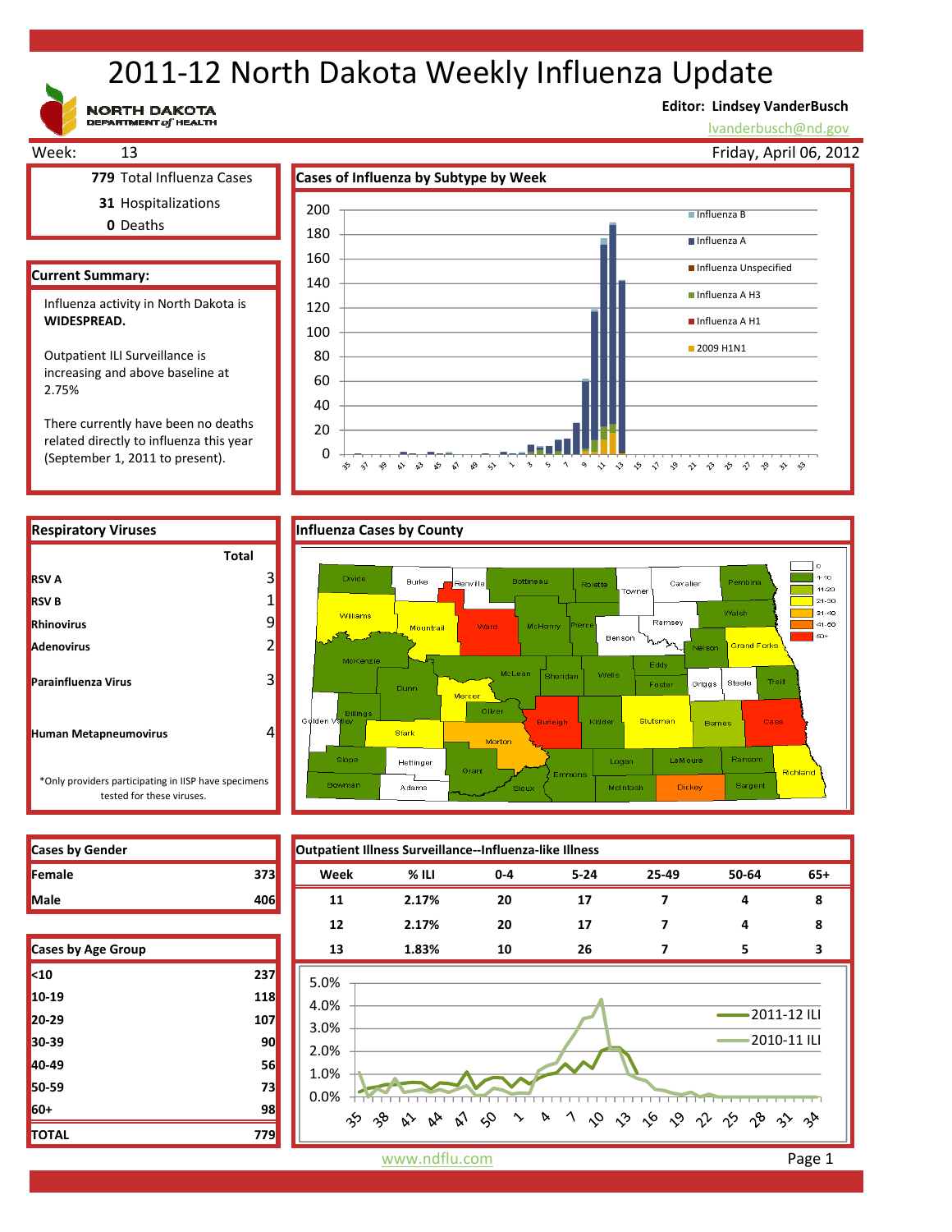# 2011‐12 North Dakota Weekly Influenza Update

**NORTH DAKOTA**<br>DEPARTMENT of HEALTH

### **Editor: Lindsey VanderBusch**

lvanderbusch@nd.gov



0 20

> ☆  $\hat{\mathbf{v}}$ ఛ  $\sim$ ু≳ ళ √ ଚ୍ଚ  $\rightsquigarrow$

There currently have been no deaths related directly to influenza this year (September 1, 2011 to present).

**RSV B Rhinovirus Adenovirus**

**RSV A**

**Parainfluenza Virus**

**Human Metapneumovirus**



-90-

6 1 9 0 0 0 0 0 0 0 0 0 0 0 0 0 0

 $\sim$  $\gamma_{\rm j}$ 

| <b>Cases by Gender</b> |     |
|------------------------|-----|
| Female                 | 373 |
|                        |     |

tested for these viruses.

| Cases by Age Group |     |
|--------------------|-----|
| $10$               | 237 |
| 10-19              | 118 |
| 20-29              | 107 |
| 30-39              | 90  |
| 40-49              | 56  |
| 50-59              | 73  |
| 60+                | 98  |
| <b>TOTAL</b>       | 779 |



www.ndflu.com **Page 1**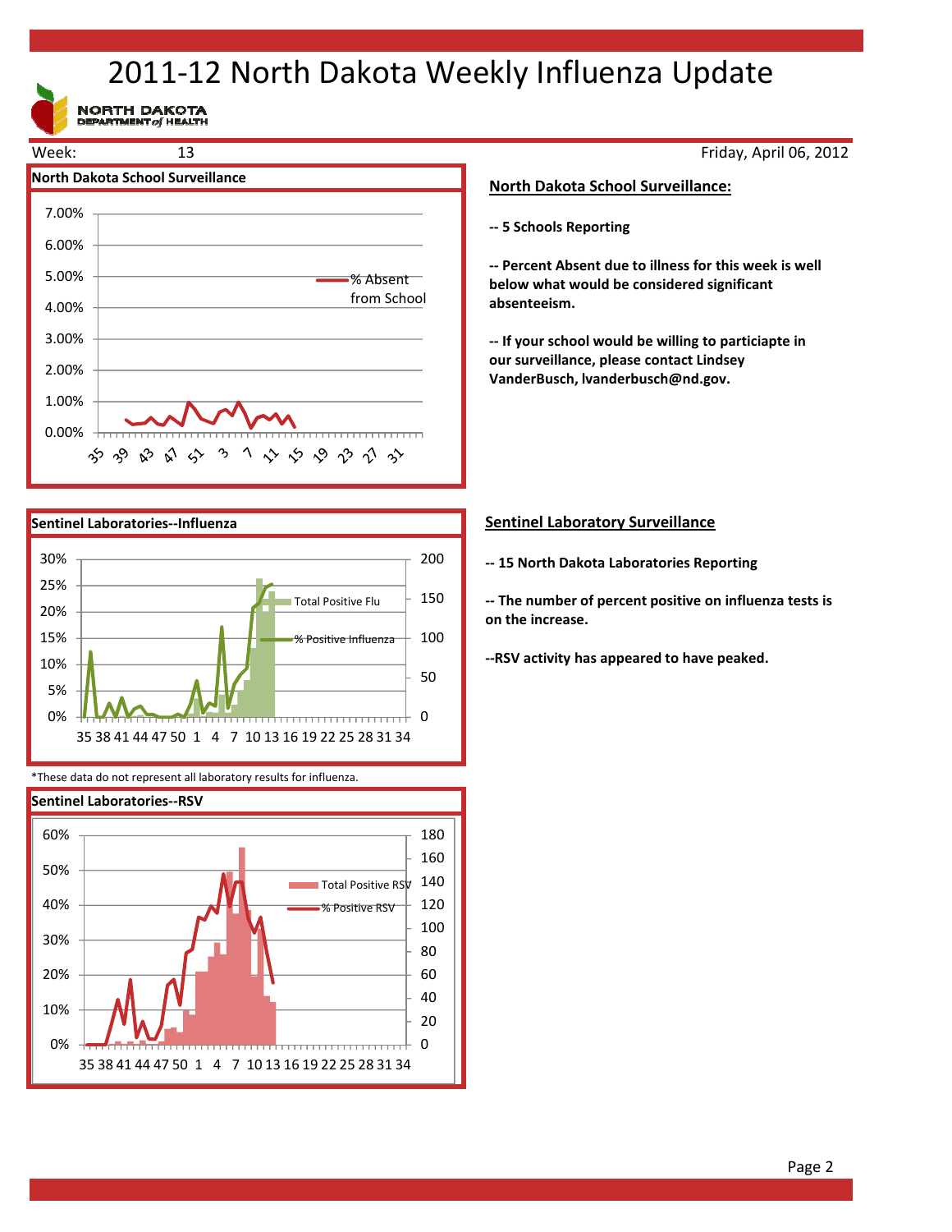## 2011‐12 North Dakota Weekly Influenza Update

NORTH DAKOTA





\*These data do not represent all laboratory results for influenza.



Friday, April 06, 2012

#### **North Dakota School Surveillance:**

**‐‐ 5 Schools Reporting**

**‐‐ Percent Absent due to illness for this week is well below what would be considered significant absenteeism.**

**‐‐ If your school would be willing to particiapte in our surveillance, please contact Lindsey VanderBusch, lvanderbusch@nd.gov.**

#### **Sentinel Laboratory Surveillance**

**‐‐ 15 North Dakota Laboratories Reporting**

**‐‐ The number of percent positive on influenza tests is on the increase.**

**‐‐RSV activity has appeared to have peaked.**